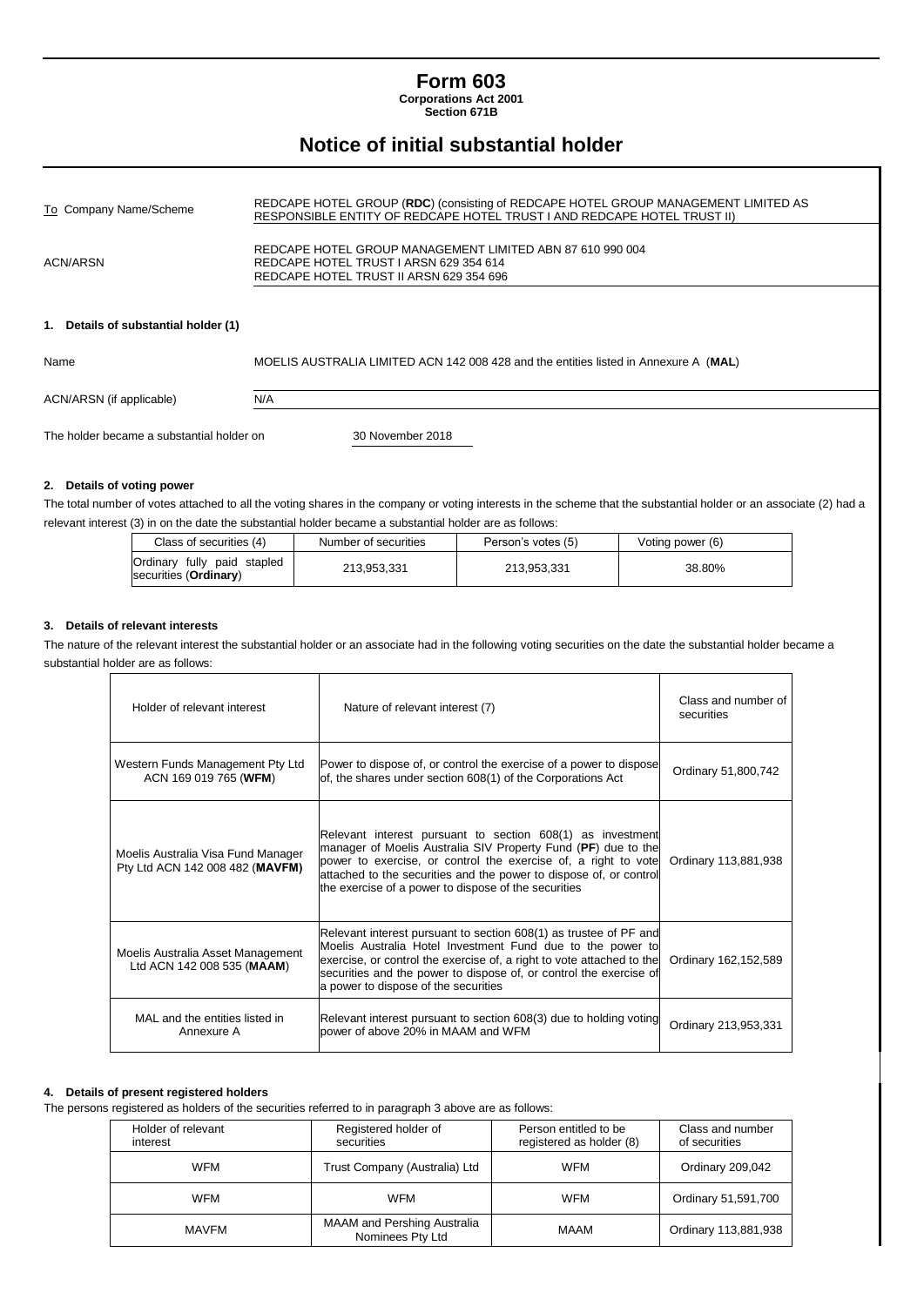# **Form 603**

**Corporations Act 2001 Section 671B**

# **Notice of initial substantial holder**

| To Company Name/Scheme               | REDCAPE HOTEL GROUP (RDC) (consisting of REDCAPE HOTEL GROUP MANAGEMENT LIMITED AS<br>RESPONSIBLE ENTITY OF REDCAPE HOTEL TRUST I AND REDCAPE HOTEL TRUST II) |
|--------------------------------------|---------------------------------------------------------------------------------------------------------------------------------------------------------------|
| ACN/ARSN                             | REDCAPE HOTEL GROUP MANAGEMENT LIMITED ABN 87 610 990 004<br>REDCAPE HOTEL TRUST I ARSN 629 354 614<br>REDCAPE HOTEL TRUST II ARSN 629 354 696                |
| 1. Details of substantial holder (1) |                                                                                                                                                               |
| Name                                 | MOELIS AUSTRALIA LIMITED ACN 142 008 428 and the entities listed in Annexure A (MAL)                                                                          |

ACN/ARSN (if applicable) N/A

The holder became a substantial holder on 30 November 2018

#### **2. Details of voting power**

The total number of votes attached to all the voting shares in the company or voting interests in the scheme that the substantial holder or an associate (2) had a relevant interest (3) in on the date the substantial holder became a substantial holder are as follows:

| Class of securities (4)                                       | Number of securities | Person's votes (5) | Voting power (6) |  |
|---------------------------------------------------------------|----------------------|--------------------|------------------|--|
| Ordinary fully paid stapled<br>securities ( <b>Ordinary</b> ) | 213.953.331          | 213.953.331        | 38.80%           |  |

#### **3. Details of relevant interests**

The nature of the relevant interest the substantial holder or an associate had in the following voting securities on the date the substantial holder became a substantial holder are as follows:

| Holder of relevant interest                                           | Nature of relevant interest (7)                                                                                                                                                                                                                                                                                             | Class and number of<br>securities |
|-----------------------------------------------------------------------|-----------------------------------------------------------------------------------------------------------------------------------------------------------------------------------------------------------------------------------------------------------------------------------------------------------------------------|-----------------------------------|
| Western Funds Management Pty Ltd<br>ACN 169 019 765 (WFM)             | Power to dispose of, or control the exercise of a power to dispose<br>of, the shares under section 608(1) of the Corporations Act                                                                                                                                                                                           | Ordinary 51,800,742               |
| Moelis Australia Visa Fund Manager<br>Pty Ltd ACN 142 008 482 (MAVFM) | Relevant interest pursuant to section 608(1) as investment<br>manager of Moelis Australia SIV Property Fund (PF) due to the<br>power to exercise, or control the exercise of, a right to vote<br>attached to the securities and the power to dispose of, or control<br>the exercise of a power to dispose of the securities | Ordinary 113,881,938              |
| Moelis Australia Asset Management<br>Ltd ACN 142 008 535 (MAAM)       | Relevant interest pursuant to section 608(1) as trustee of PF and<br>Moelis Australia Hotel Investment Fund due to the power to<br>exercise, or control the exercise of, a right to vote attached to the<br>securities and the power to dispose of, or control the exercise of<br>a power to dispose of the securities      | Ordinary 162,152,589              |
| MAL and the entities listed in<br>Annexure A                          | Relevant interest pursuant to section 608(3) due to holding voting<br>bower of above 20% in MAAM and WFM                                                                                                                                                                                                                    | Ordinary 213,953,331              |

#### **4. Details of present registered holders**

The persons registered as holders of the securities referred to in paragraph 3 above are as follows:

| Holder of relevant<br>interest | Registered holder of<br>securities              | Person entitled to be<br>registered as holder (8) | Class and number<br>of securities |
|--------------------------------|-------------------------------------------------|---------------------------------------------------|-----------------------------------|
| <b>WFM</b>                     | Trust Company (Australia) Ltd                   | <b>WFM</b>                                        | Ordinary 209,042                  |
| <b>WFM</b>                     | <b>WFM</b>                                      | <b>WFM</b>                                        | Ordinary 51,591,700               |
| MAVFM                          | MAAM and Pershing Australia<br>Nominees Pty Ltd | MAAM                                              | Ordinary 113,881,938              |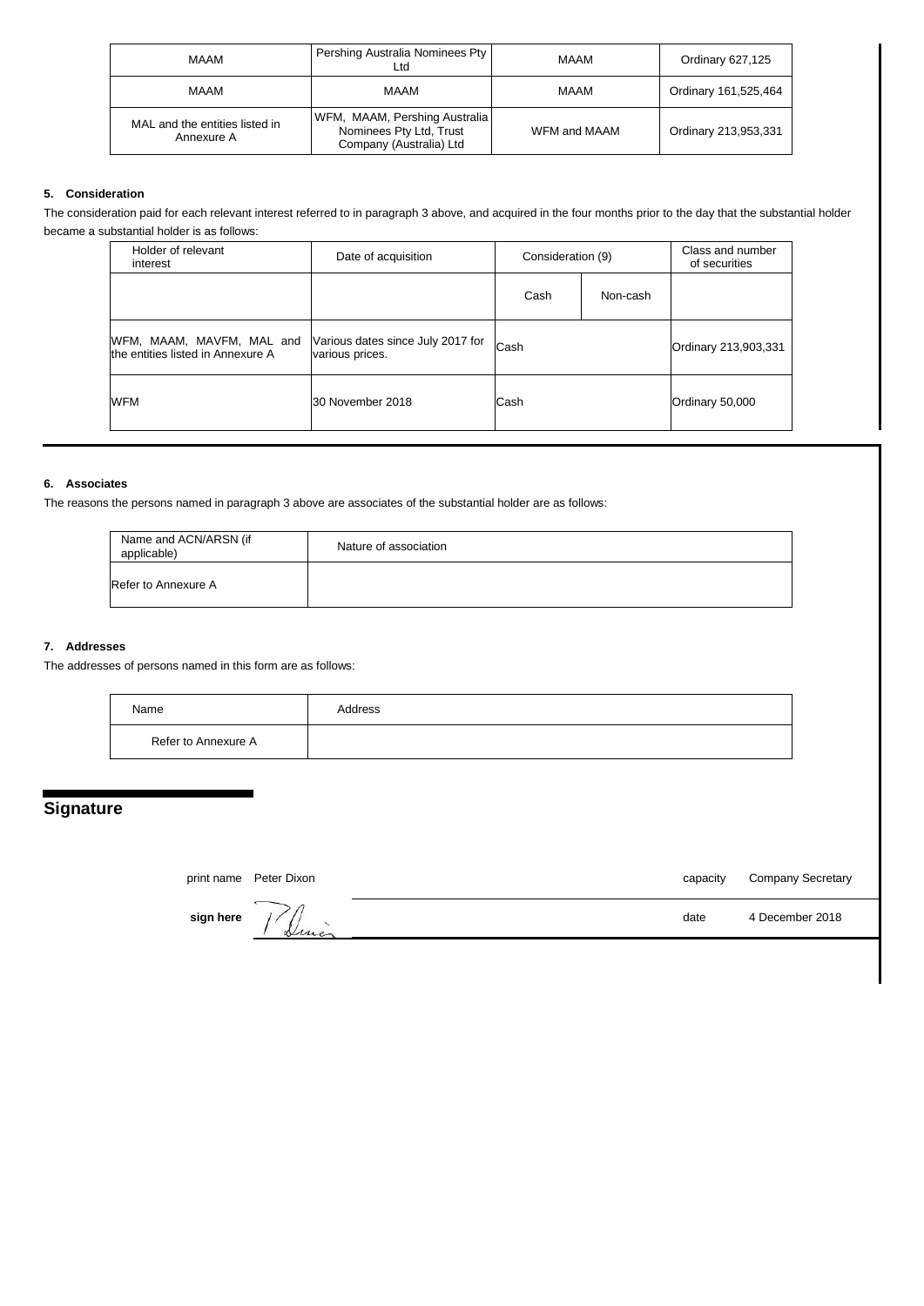| <b>MAAM</b>                                  | Pershing Australia Nominees Pty<br>∟td                                              | <b>MAAM</b>  | Ordinary 627,125     |
|----------------------------------------------|-------------------------------------------------------------------------------------|--------------|----------------------|
| <b>MAAM</b>                                  | <b>MAAM</b>                                                                         | <b>MAAM</b>  | Ordinary 161,525,464 |
| MAL and the entities listed in<br>Annexure A | WFM, MAAM, Pershing Australia<br>Nominees Pty Ltd, Trust<br>Company (Australia) Ltd | WFM and MAAM | Ordinary 213,953,331 |

#### **5. Consideration**

The consideration paid for each relevant interest referred to in paragraph 3 above, and acquired in the four months prior to the day that the substantial holder became a substantial holder is as follows:

| Holder of relevant<br>interest                                 | Date of acquisition                                  | Consideration (9) |          | Class and number<br>of securities |
|----------------------------------------------------------------|------------------------------------------------------|-------------------|----------|-----------------------------------|
|                                                                |                                                      | Cash              | Non-cash |                                   |
| WFM, MAAM, MAVFM, MAL and<br>the entities listed in Annexure A | Various dates since July 2017 for<br>various prices. | Cash              |          | Ordinary 213,903,331              |
| <b>WFM</b>                                                     | 30 November 2018                                     | Cash              |          | Ordinary 50,000                   |

## **6. Associates**

The reasons the persons named in paragraph 3 above are associates of the substantial holder are as follows:

| Name and ACN/ARSN (if<br>applicable) | Nature of association |
|--------------------------------------|-----------------------|
| Refer to Annexure A                  |                       |

### **7. Addresses**

The addresses of persons named in this form are as follows:

| Name                | Address |
|---------------------|---------|
| Refer to Annexure A |         |

# **Signature**

print name Peter Dixon capacity Company Secretary

**sign here**  $\frac{1}{4}$   $\frac{1}{4}$   $\frac{1}{4}$   $\frac{1}{4}$   $\frac{1}{4}$   $\frac{1}{4}$   $\frac{1}{4}$   $\frac{1}{4}$   $\frac{1}{4}$   $\frac{1}{4}$   $\frac{1}{4}$   $\frac{1}{4}$   $\frac{1}{4}$   $\frac{1}{4}$   $\frac{1}{4}$   $\frac{1}{4}$   $\frac{1}{4}$   $\frac{1}{4}$   $\frac{1}{4}$   $\frac{1}{4}$   $\frac{1}{4}$